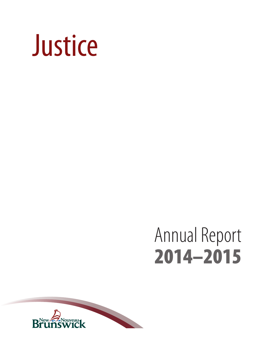

# Annual Report 2014–2015

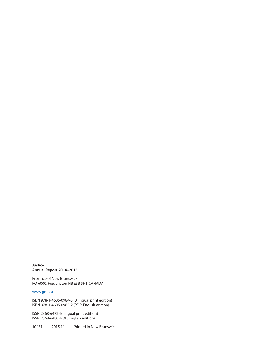**Justice Annual Report 2014–2015**

Province of New Brunswick PO 6000, Fredericton NB E3B 5H1 CANADA

#### <www.gnb.ca>

ISBN 978-1-4605-0984-5 (Bilingual print edition) ISBN 978-1-4605-0985-2 (PDF: English edition)

ISSN 2368-6472 (Bilingual print edition) ISSN 2368-6480 (PDF: English edition)

10481 | 2015.11 | Printed in New Brunswick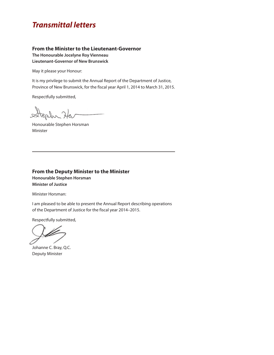### *Transmittal letters*

#### **From the Minister to the Lieutenant-Governor**

**The Honourable Jocelyne Roy Vienneau Lieutenant-Governor of New Brunswick**

May it please your Honour:

It is my privilege to submit the Annual Report of the Department of Justice, Province of New Brunswick, for the fiscal year April 1, 2014 to March 31, 2015.

Respectfully submitted,

tephr Ha  $\sim$ 

Honourable Stephen Horsman Minister

#### **From the Deputy Minister to the Minister Honourable Stephen Horsman Minister of Justice**

Minister Horsman:

I am pleased to be able to present the Annual Report describing operations of the Department of Justice for the fiscal year 2014–2015.

Respectfully submitted,

Johanne C. Bray, Q.C. Deputy Minister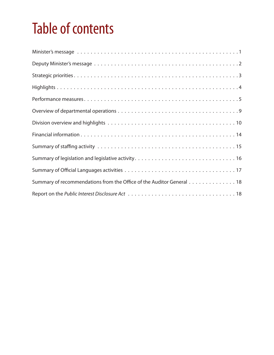## Table of contents

| Summary of recommendations from the Office of the Auditor General 18 |
|----------------------------------------------------------------------|
|                                                                      |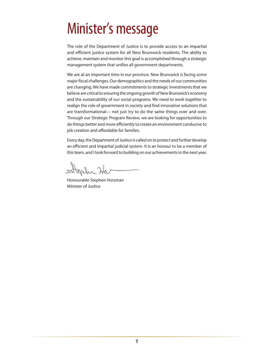## <span id="page-4-0"></span>Minister's message

The role of the Department of Justice is to provide access to an impartial and efficient justice system for all New Brunswick residents. The ability to achieve, maintain and monitor this goal is accomplished through a strategic management system that unifies all government departments.

We are at an important time in our province. New Brunswick is facing some major fiscal challenges. Our demographics and the needs of our communities are changing. We have made commitments to strategic investments that we believe are critical to ensuring the ongoing growth of New Brunswick's economy and the sustainability of our social programs. We need to work together to realign the role of government in society and find innovative solutions that are transformational— not just try to do the same things over and over. Through our Strategic Program Review, we are looking for opportunities to do things better and more efficiently to create an environment conducive to job creation and affordable for families.

Every day, the Department of Justice is called on to protect and further develop an efficient and impartial judicial system. It is an honour to be a member of this team, and I look forward to building on our achievements in the next year.

Tealur Ha

Honourable Stephen Horsman Minister of Justice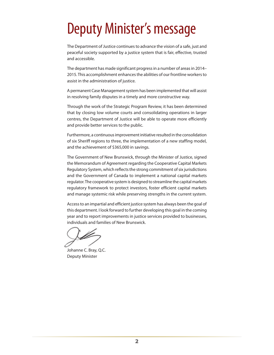## <span id="page-5-0"></span>Deputy Minister's message

The Department of Justice continues to advance the vision of a safe, just and peaceful society supported by a justice system that is fair, effective, trusted and accessible.

The department has made significant progress in a number of areas in 2014– 2015. This accomplishment enhances the abilities of our frontline workers to assist in the administration of justice.

A permanent Case Management system has been implemented that will assist in resolving family disputes in a timely and more constructive way.

Through the work of the Strategic Program Review, it has been determined that by closing low volume courts and consolidating operations in larger centres, the Department of Justice will be able to operate more efficiently and provide better services to the public.

Furthermore, a continuous improvement initiative resulted in the consolidation of six Sheriff regions to three, the implementation of a new staffing model, and the achievement of \$365,000 in savings.

The Government of New Brunswick, through the Minister of Justice, signed the Memorandum of Agreement regarding the Cooperative Capital Markets Regulatory System, which reflects the strong commitment of six jurisdictions and the Government of Canada to implement a national capital markets regulator. The cooperative system is designed to streamline the capital markets regulatory framework to protect investors, foster efficient capital markets and manage systemic risk while preserving strengths in the current system.

Access to an impartial and efficient justice system has always been the goal of this department. I look forward to further developing this goal in the coming year and to report improvements in justice services provided to businesses, individuals and families of New Brunswick.

Johanne C. Bray, Q.C. Deputy Minister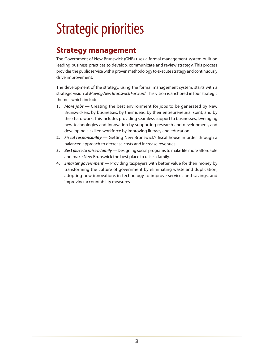## <span id="page-6-0"></span>Strategic priorities

### **Strategy management**

The Government of New Brunswick (GNB) uses a formal management system built on leading business practices to develop, communicate and review strategy. This process provides the public service with a proven methodology to execute strategy and continuously drive improvement.

The development of the strategy, using the formal management system, starts with a strategic vision of *Moving New Brunswick Forward*. This vision is anchored in four strategic themes which include:

- **1.** *More jobs —* Creating the best environment for jobs to be generated by New Brunswickers, by businesses, by their ideas, by their entrepreneurial spirit, and by their hard work. This includes providing seamless support to businesses, leveraging new technologies and innovation by supporting research and development, and developing a skilled workforce by improving literacy and education.
- **2.** *Fiscal responsibility —* Getting New Brunswick's fiscal house in order through a balanced approach to decrease costs and increase revenues.
- **3.** *Best place to raise a family —* Designing social programs to make life more affordable and make New Brunswick the best place to raise a family.
- **4.** *Smarter government —* Providing taxpayers with better value for their money by transforming the culture of government by eliminating waste and duplication, adopting new innovations in technology to improve services and savings, and improving accountability measures.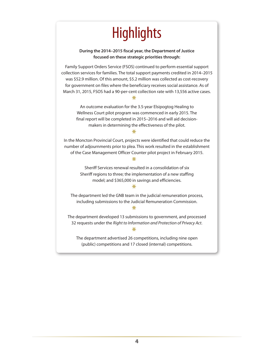## **Highlights**

**During the 2014–2015 fiscal year, the Department of Justice focused on these strategic priorities through:**

<span id="page-7-0"></span>Family Support Orders Service (FSOS) continued to perform essential support collection services for families. The total support payments credited in 2014–2015 was \$52.9 million. Of this amount, \$5.2 million was collected as cost-recovery for government on files where the beneficiary receives social assistance. As of March 31, 2015, FSOS had a 90-per-cent collection rate with 13,556 active cases.

#### $\ast$

An outcome evaluation for the 3.5-year Elsipogtog Healing to Wellness Court pilot program was commenced in early 2015. The final report will be completed in 2015–2016 and will aid decisionmakers in determining the effectiveness of the pilot.

#### $\ast$

In the Moncton Provincial Court, projects were identified that could reduce the number of adjournments prior to plea. This work resulted in the establishment of the Case Management Officer Counter pilot project in February 2015.

#### $\ast$

Sheriff Services renewal resulted in a consolidation of six Sheriff regions to three; the implementation of a new staffing model; and \$365,000 in savings and efficiencies.

#### $\ast$

The department led the GNB team in the judicial remuneration process, including submissions to the Judicial Remuneration Commission.

#### $\ast$

The department developed 13 submissions to government, and processed 32 requests under the *Right to Information and Protection of Privacy Act*.

#### $\overline{\textbf{x}}$

The department advertised 26 competitions, including nine open (public) competitions and 17 closed (internal) competitions.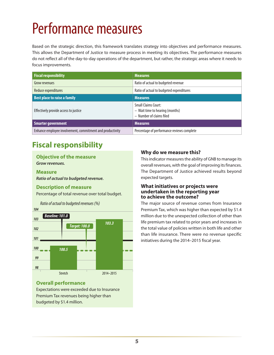## <span id="page-8-0"></span>Performance measures

Based on the strategic direction, this framework translates strategy into objectives and performance measures. This allows the Department of Justice to measure process in meeting its objectives. The performance measures do not reflect all of the day-to-day operations of the department, but rather, the strategic areas where it needs to focus improvements.

| <b>Fiscal responsibility</b>                              | <b>Measures</b>                                                                           |
|-----------------------------------------------------------|-------------------------------------------------------------------------------------------|
| Grow revenues                                             | Ratio of actual to budgeted revenue                                                       |
| Reduce expenditures                                       | Ratio of actual to budgeted expenditures                                                  |
| <b>Best place to raise a family</b>                       | <b>Measures</b>                                                                           |
| Effectively provide access to justice                     | <b>Small Claims Court:</b><br>- Wait time to hearing (months)<br>- Number of claims filed |
| <b>Smarter government</b>                                 | <b>Measures</b>                                                                           |
| Enhance employee involvement, commitment and productivity | Percentage of performance reviews complete                                                |

## **Fiscal responsibility**

### **Objective of the measure**

*Grow revenues.*

#### **Measure** *Ratio of actual to budgeted revenue.*

#### **Description of measure**

Percentage of total revenue over total budget.



#### **Overall performance**

Expectations were exceeded due to Insurance Premium Tax revenues being higher than budgeted by \$1.4 million.

#### **Why do we measure this?**

This indicator measures the ability of GNB to manage its overall revenues, with the goal of improving its finances. The Department of Justice achieved results beyond expected targets.

#### **What initiatives or projects were undertaken in the reporting year to achieve the outcome?**

The major source of revenue comes from Insurance Premium Tax, which was higher than expected by \$1.4 million due to the unexpected collection of other than life premium tax related to prior years and increases in the total value of policies written in both life and other than life insurance. There were no revenue specific initiatives during the 2014–2015 fiscal year.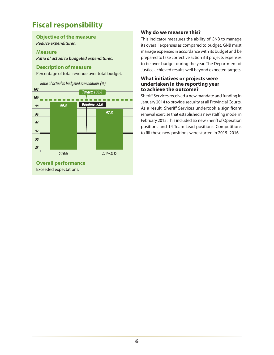### **Fiscal responsibility**

#### **Objective of the measure** *Reduce expenditures.*

#### **Measure**

*Ratio of actual to budgeted expenditures.*

#### **Description of measure**

Percentage of total revenue over total budget.



#### **Why do we measure this?**

This indicator measures the ability of GNB to manage its overall expenses as compared to budget. GNB must manage expenses in accordance with its budget and be prepared to take corrective action if it projects expenses to be over-budget during the year. The Department of Justice achieved results well beyond expected targets.

#### **What initiatives or projects were undertaken in the reporting year to achieve the outcome?**

Sheriff Services received a new mandate and funding in January 2014 to provide security at all Provincial Courts. As a result, Sheriff Services undertook a significant renewal exercise that established a new staffing model in February 2015. This included six new Sheriff of Operation positions and 14 Team Lead positions. Competitions to fill these new positions were started in 2015–2016.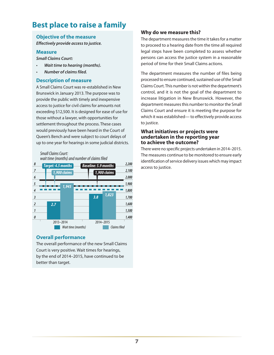### **Best place to raise a family**

#### **Objective of the measure**

*Effectively provide access to justice.*

#### **Measure**

*Small Claims Court:*

- **Wait time to hearing (months).**
- • *Number of claims filed.*

#### **Description of measure**

A Small Claims Court was re-established in New Brunswick in January 2013. The purpose was to provide the public with timely and inexpensive access to justice for civil claims for amounts not exceeding \$12,500. It is designed for ease of use for those without a lawyer, with opportunities for settlement throughout the process. These cases would previously have been heard in the Court of Queen's Bench and were subject to court delays of up to one year for hearings in some judicial districts.

#### *Small Claims Court: wait time (months) and number of claims filed*



#### **Overall performance**

The overall performance of the new Small Claims Court is very positive. Wait times for hearings, by the end of 2014–2015, have continued to be better than target.

#### **Why do we measure this?**

The department measures the time it takes for a matter to proceed to a hearing date from the time all required legal steps have been completed to assess whether persons can access the justice system in a reasonable period of time for their Small Claims actions.

The department measures the number of files being processed to ensure continued, sustained use of the Small Claims Court. This number is not within the department's control, and it is not the goal of the department to increase litigation in New Brunswick. However, the department measures this number to monitor the Small Claims Court and ensure it is meeting the purpose for which it was established— to effectively provide access to justice.

#### **What initiatives or projects were undertaken in the reporting year to achieve the outcome?**

There were no specific projects undertaken in 2014–2015. The measures continue to be monitored to ensure early identification of service delivery issues which may impact access to justice.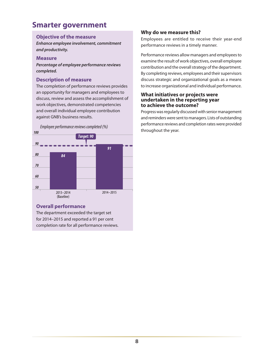### **Smarter government**

#### **Objective of the measure**

*Enhance employee involvement, commitment and productivity.*

#### **Measure**

*Percentage of employee performance reviews completed.*

#### **Description of measure**

The completion of performance reviews provides an opportunity for managers and employees to discuss, review and assess the accomplishment of work objectives, demonstrated competencies and overall individual employee contribution against GNB's business results.

Employee performance reviews completed (%) explored the year. **Employee performance reviews completed** (%)



#### **Overall performance**

The department exceeded the target set for 2014–2015 and reported a 91 per cent completion rate for all performance reviews.

#### **Why do we measure this?**

Employees are entitled to receive their year-end performance reviews in a timely manner.

Performance reviews allow managers and employees to examine the result of work objectives, overall employee contribution and the overall strategy of the department. By completing reviews, employees and their supervisors discuss strategic and organizational goals as a means to increase organizational and individual performance.

#### **What initiatives or projects were undertaken in the reporting year to achieve the outcome?**

Progress was regularly discussed with senior management and reminders were sent to managers. Lists of outstanding performance reviews and completion rates were provided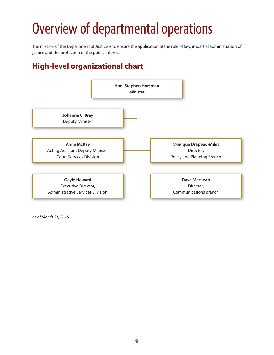## <span id="page-12-0"></span>Overview of departmental operations

The mission of the Department of Justice is to ensure the application of the rule of law, impartial administration of justice and the protection of the public interest.

## **High-level organizational chart**



*As of March 31, 2015*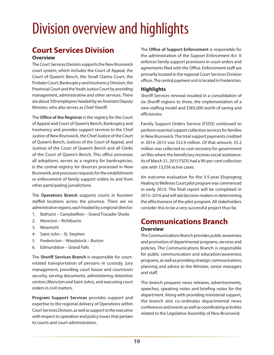## <span id="page-13-0"></span>Division overview and highlights

### **Court Services Division**

#### **Overview**

The Court Services Division supports the New Brunswick court system, which includes the Court of Appeal, the Court of Queen's Bench, the Small Claims Court, the Probate Court, Bankruptcy and Insolvency Division, the Provincial Court and the Youth Justice Court by providing management, administrative and other services. There are about 350 employees headed by an Assistant Deputy Minister, who also serves as Chief Sheriff.

The **Office of the Registrar** is the registry for the Court of Appeal and Court of Queen's Bench, Bankruptcy and Insolvency and provides support services to the Chief Justice of New Brunswick, the Chief Justice of the Court of Queen's Bench, Justices of the Court of Appeal, and Justices of the Court of Queen's Bench and all Clerks of the Court of Queen's Bench. This office processes all adoptions, serves as a registry for bankruptcies, is the central registry for divorces processed in New Brunswick, and processes requests for the establishment or enforcement of family support orders to and from other participating jurisdictions.

The **Operations Branch** supports courts in fourteen staffed locations across the province. There are six administrative regions, each headed by a regional director:

- 1. Bathurst Campbellton Grand Tracadie-Sheila
- 2. Moncton Richibucto
- 3. Miramichi
- 4. Saint John St. Stephen
- 5. Fredericton Woodstock Burton
- 6. Edmundston Grand Falls

The **Sheriff Services Branch** is responsible for courtrelated transportation of persons in custody, jury management, providing court house and courtroom security, serving documents, administering detention centres (Moncton and Saint John), and executing court orders in civil matters.

**Program Support Services** provides support and expertise to the regional delivery of Operations within Court Services Division, as well as support to the executive with respect to operation and policy issues that pertain to courts and court administration.

The **Office of Support Enforcement** is responsible for the administration of the *Support Enforcement Act*. It enforces family support provisions in court orders and agreements filed with the Office. Enforcement staff are primarily located in the regional Court Services Division offices. The central payment unit is located in Fredericton.

#### **Highlights**

Sheriff Services renewal resulted in a consolidation of six Sheriff regions to three, the implementation of a new staffing model and \$365,000 worth of saving and efficiencies.

Family Support Orders Service (FSOS) continued to perform essential support collection services for families in New Brunswick. The total support payments credited in 2014–2015 was \$52.9 million. Of that amount, \$5.2 million was collected as cost-recovery for government on files where the beneficiary receives social assistance. As of March 31, 2015 FSOS had a 90-per-cent collection rate with 13,556 active cases.

An outcome evaluation for the 3.5-year Elsipogtog Healing to Wellness Court pilot program was commenced in early 2015. The final report will be completed in 2015–2016 and will aid decision-makers in determining the effectiveness of the pilot program. All stakeholders consider this to be a very successful project thus far.

## **Communications Branch**

#### **Overview**

The Communications Branch provides public awareness and promotion of departmental programs, services and policies. The Communications Branch is responsible for public communication and education/awareness programs, as well as providing strategic communications planning and advice to the Minister, senior managers and staff.

The branch prepares news releases, advertisements, speeches, speaking notes and briefing notes for the department. Along with providing ministerial support, the branch also co-ordinates departmental news conferences and events as well as coordinating activities related to the Legislative Assembly of New Brunswick.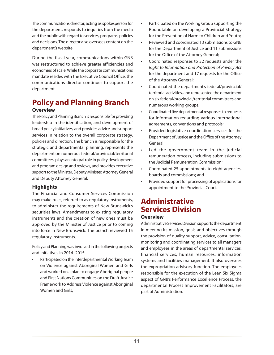The communications director, acting as spokesperson for the department, responds to inquiries from the media and the public with regard to services, programs, policies and decisions. The director also oversees content on the department's website.

During the fiscal year, communications within GNB was restructured to achieve greater efficiencies and economies of scale. While the corporate communications mandate resides with the Executive Council Office, the communications director continues to support the department.

#### **Policy and Planning Branch Overview**

The Policy and Planning Branch is responsible for providing leadership in the identification, and development of broad policy initiatives, and provides advice and support services in relation to the overall corporate strategy, policies and direction. The branch is responsible for the strategic and departmental planning, represents the department on numerous federal/provincial/territorial committees, plays an integral role in policy development and program design and reviews, and provides executive support to the Minister, Deputy Minister, Attorney General and Deputy Attorney General.

#### **Highlights**

The Financial and Consumer Services Commission may make rules, referred to as regulatory instruments, to administer the requirements of New Brunswick's securities laws. Amendments to existing regulatory instruments and the creation of new ones must be approved by the Minister of Justice prior to coming into force in New Brunswick. The branch reviewed 15 regulatory instruments.

Policy and Planning was involved in the following projects and initiatives in 2014–2015:

Participated on the Interdepartmental Working Team on Violence against Aboriginal Women and Girls and worked on a plan to engage Aboriginal people and First Nations Communities on the Draft Justice Framework to Address Violence against Aboriginal Women and Girls;

- Participated on the Working Group supporting the Roundtable on developing a Provincial Strategy for the Prevention of Harm to Children and Youth;
- Reviewed and coordinated 13 submissions to GNB for the Department of Justice and 11 submissions for the Office of the Attorney General;
- Coordinated responses to 32 requests under the *Right to Information and Protection of Privacy Act*  for the department and 17 requests for the Office of the Attorney General;
- Coordinated the department's federal/provincial/ territorial activities, and represented the department on six federal/provincial/territorial committees and numerous working groups;
- Coordinated five departmental responses to requests for information regarding various international agreements, conventions and protocols;
- Provided legislative coordination services for the Department of Justice and the Office of the Attorney General;
- Led the government team in the judicial remuneration process, including submissions to the Judicial Remuneration Commission;
- Coordinated 25 appointments to eight agencies, boards and commissions; and
- • Provided support for processing of applications for appointment to the Provincial Court.

### **Administrative Services Division**

#### **Overview**

Administrative Services Division supports the department in meeting its mission, goals and objectives through the provision of quality support, advice, consultation, monitoring and coordinating services to all managers and employees in the areas of departmental services, financial services, human resources, information systems and facilities management. It also oversees the expropriation advisory function. The employees responsible for the execution of the Lean Six Sigma aspect of GNB's Performance Excellence Process, the departmental Process Improvement Facilitators, are part of Administration.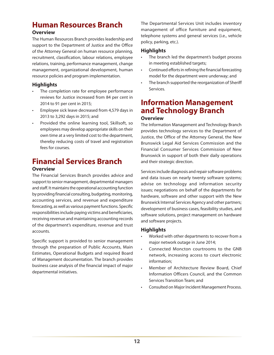## **Human Resources Branch**

#### **Overview**

The Human Resources Branch provides leadership and support to the Department of Justice and the Office of the Attorney General on human resource planning, recruitment, classification, labour relations, employee relations, training, performance management, change management, organizational development, human resource policies and program implementation.

#### **Highlights**

- The completion rate for employee performance reviews for Justice increased from 84 per cent in 2014 to 91 per cent in 2015;
- Employee sick leave decreased from 4,579 days in 2013 to 3,292 days in 2015; and
- Provided the online learning tool, Skillsoft, so employees may develop appropriate skills on their own time at a very limited cost to the department, thereby reducing costs of travel and registration fees for courses.

## **Financial Services Branch**

#### **Overview**

The Financial Services Branch provides advice and support to senior management, departmental managers and staff. It maintains the operational accounting function by providing financial consulting, budgeting, monitoring, accounting services, and revenue and expenditure forecasting, as well as various payment functions. Specific responsibilities include paying victims and beneficiaries, receiving revenue and maintaining accounting records of the department's expenditure, revenue and trust accounts.

Specific support is provided to senior management through the preparation of Public Accounts, Main Estimates, Operational Budgets and required Board of Management documentation. The branch provides business case analysis of the financial impact of major departmental initiatives.

The Departmental Services Unit includes inventory management of office furniture and equipment, telephone systems and general services (i.e., vehicle policy, parking, etc.).

#### **Highlights**

- The branch led the department's budget process in meeting established targets;
- Continued efforts in refining the financial forecasting model for the department were underway; and
- The branch supported the reorganization of Sheriff Services.

#### **Information Management and Technology Branch Overview**

The Information Management and Technology Branch provides technology services to the Department of Justice, the Office of the Attorney General, the New Brunswick Legal Aid Services Commission and the Financial Consumer Services Commission of New Brunswick in support of both their daily operations and their strategic direction.

Services include diagnosis and repair software problems and data issues on nearly twenty software systems; advise on technology and information security issues; negotiations on behalf of the departments for hardware, software and other support with the New Brunswick Internal Services Agency and other partners; development of business cases, feasibility studies, and software solutions, project management on hardware and software projects.

#### **Highlights**

- Worked with other departments to recover from a major network outage in June 2014;
- Connected Moncton courtrooms to the GNB network, increasing access to court electronic information;
- Member of Architecture Review Board, Chief Information Officers Council, and the Common Services Transition Team; and
- • Consulted on Major Incident Management Process.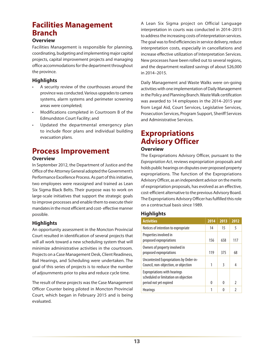### **Facilities Management Branch**

#### **Overview**

Facilities Management is responsible for planning, coordinating, budgeting and implementing major capital projects, capital improvement projects and managing office accommodations for the department throughout the province.

#### **Highlights**

- A security review of the courthouses around the province was conducted. Various upgrades to camera systems, alarm systems and perimeter screening areas were completed;
- Modifications completed in Courtroom B of the Edmundston Court Facility; and
- Updated the departmental emergency plan to include floor plans and individual building evacuation plans.

### **Process Improvement**

#### **Overview**

In September 2012, the Department of Justice and the Office of the Attorney General adopted the Government's Performance Excellence Process. As part of this initiative, two employees were reassigned and trained as Lean Six Sigma Black Belts. Their purpose was to work on large-scale initiatives that support the strategic goals to improve processes and enable them to execute their mandates in the most efficient and cost- effective manner possible.

#### **Highlights**

An opportunity assessment in the Moncton Provincial Court resulted in identification of several projects that will all work toward a new scheduling system that will minimize administrative activities in the courtroom. Projects on a Case Management Desk, Client Readiness, Bail Hearings, and Scheduling were undertaken. The goal of this series of projects is to reduce the number of adjournments prior to plea and reduce cycle time.

The result of these projects was the Case Management Officer Counter being piloted in Moncton Provincial Court, which began in February 2015 and is being evaluated.

A Lean Six Sigma project on Official Language interpretation in courts was conducted in 2014–2015 to address the increasing costs of interpretation services. The goal was to find efficiencies in service delivery, reduce interpretation costs, especially in cancellations and increase effective utilization of Interpretation Services. New processes have been rolled out to several regions, and the department realized savings of about \$26,000 in 2014–2015.

Daily Management and Waste Walks were on-going activities with one implementation of Daily Management in the Policy and Planning Branch. Waste Walk certification was awarded to 14 employees in the 2014–2015 year from Legal Aid, Court Services, Legislative Services, Prosecution Services, Program Support, Sheriff Services and Administrative Services.

## **Expropriations Advisory Officer**

#### **Overview**

The Expropriations Advisory Officer, pursuant to the *Expropriation Act*, reviews expropriation proposals and holds public hearings on disputes over proposed property expropriations. The function of the Expropriations Advisory Officer, as an independent advisor on the merits of expropriation proposals, has evolved as an effective, cost-efficient alternative to the previous Advisory Board. The Expropriations Advisory Officer has fulfilled this role on a contractual basis since 1989.

#### **Highlights**

| 2014 | 2013     | 2012          |
|------|----------|---------------|
| 14   | 15       | 5             |
| 156  | 658      | 117           |
| 119  | 375      | 68            |
| 1    | 3        | 4             |
|      |          | $\mathfrak z$ |
|      |          | 2             |
|      | $\Omega$ | <sup>0</sup>  |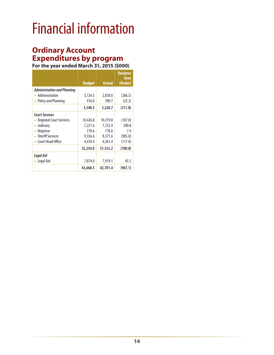## <span id="page-17-0"></span>Financial information

### **Ordinary Account Expenditures by program**

**For the year ended March 31, 2015 (\$000)**

|                                    |               |               | <b>Variance</b><br><b>Over</b> |
|------------------------------------|---------------|---------------|--------------------------------|
|                                    | <b>Budget</b> | <b>Actual</b> | (Under)                        |
| <b>Administration and Planning</b> |               |               |                                |
| - Administration                   | 3,124.5       | 2,838.0       | (286.5)                        |
| - Policy and Planning              | 416.0         | 390.7         | (25.3)                         |
|                                    | 3,540.5       | 3,228.7       | (311.8)                        |
| <b>Court Services</b>              |               |               |                                |
| - Regional Court Services          | 10,426.8      | 10,319.8      | (107.0)                        |
| - Judiciary                        | 7,221.6       | 7,722.4       | 500.8                          |
| - Registrar                        | 770.6         | 778.0         | 7.4                            |
| - Sheriff Services                 | 9,356.6       | 8,371.6       | (985.0)                        |
| - Court Head Office                | 4,478.4       | 4,361.4       | (117.0)                        |
|                                    | 32,254.0      | 31,553.2      | (700.8)                        |
| Legal Aid                          |               |               |                                |
| - Legal Aid                        | 7,874.0       | 7,919.5       | 45.5                           |
|                                    | 43,668.5      | 42,701.4      | (967.1)                        |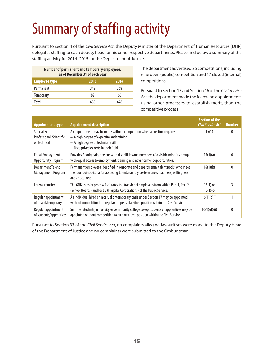# <span id="page-18-0"></span>Summary of staffing activity

Pursuant to section 4 of the *Civil Service Act*, the Deputy Minister of the Department of Human Resources (DHR) delegates staffing to each deputy head for his or her respective departments. Please find below a summary of the staffing activity for 2014–2015 for the Department of Justice.

| Number of permanent and temporary employees,<br>as of December 31 of each year |      |      |
|--------------------------------------------------------------------------------|------|------|
| <b>Employee type</b>                                                           | 2013 | 2014 |
| Permanent                                                                      | 348  | 368  |
| <b>Temporary</b>                                                               | 82   | 60   |
| Total                                                                          | 430  | 478  |

The department advertised 26 competitions, including nine open (public) competition and 17 closed (internal) competitions.

Pursuant to Section 15 and Section 16 of the *Civil Service Act*, the department made the following appointments using other processes to establish merit, than the competitive process:

| <b>Appointment type</b>                                 | <b>Appointment description</b>                                                                                                                                                                       | <b>Section of the</b><br><b>Civil Service Act</b> | <b>Number</b> |
|---------------------------------------------------------|------------------------------------------------------------------------------------------------------------------------------------------------------------------------------------------------------|---------------------------------------------------|---------------|
| Specialized<br>Professional, Scientific<br>or Technical | An appointment may be made without competition when a position requires:<br>$-$ A high degree of expertise and training<br>- A high degree of technical skill<br>- Recognized experts in their field | 15(1)                                             | $\Omega$      |
| <b>Equal Employment</b><br><b>Opportunity Program</b>   | Provides Aboriginals, persons with disabilities and members of a visible minority group<br>with equal access to employment, training and advancement opportunities.                                  | 16(1)(a)                                          | $\Omega$      |
| <b>Department Talent</b><br><b>Management Program</b>   | Permanent employees identified in corporate and departmental talent pools, who meet<br>the four-point criteria for assessing talent, namely performance, readiness, willingness<br>and criticalness. | 16(1)(b)                                          | $\Omega$      |
| Lateral transfer                                        | The GNB transfer process facilitates the transfer of employees from within Part 1, Part 2<br>(School Boards) and Part 3 (Hospital Corporations) of the Public Service.                               | $16(1)$ or<br>16(1)(c)                            | 3             |
| Regular appointment<br>of casual/temporary              | An individual hired on a casual or temporary basis under Section 17 may be appointed<br>without competition to a regular properly classified position within the Civil Service.                      | 16(1)(d)(i)                                       |               |
| Regular appointment<br>of students/apprentices          | Summer students, university or community college co-op students or apprentices may be<br>appointed without competition to an entry level position within the Civil Service.                          | 16(1)(d)(ii)                                      | $\Omega$      |

Pursuant to Section 33 of the *Civil Service Act*, no complaints alleging favouritism were made to the Deputy Head of the Department of Justice and no complaints were submitted to the Ombudsman.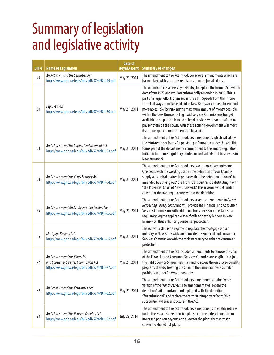## <span id="page-19-0"></span>Summary of legislation and legislative activity

| <b>Bill#</b> | <b>Name of Legislation</b>                                                                                                 | <b>Date of</b><br><b>Royal Assent</b> | <b>Summary of changes</b>                                                                                                                                                                                                                                                                                                                                                                                                                                                                                                                                                                                                               |
|--------------|----------------------------------------------------------------------------------------------------------------------------|---------------------------------------|-----------------------------------------------------------------------------------------------------------------------------------------------------------------------------------------------------------------------------------------------------------------------------------------------------------------------------------------------------------------------------------------------------------------------------------------------------------------------------------------------------------------------------------------------------------------------------------------------------------------------------------------|
| 49           | An Act to Amend the Securities Act<br>http://www.gnb.ca/legis/bill/pdf/57/4/Bill-49.pdf                                    | May 21, 2014                          | The amendment to the Act introduces several amendments which are<br>harmonized with securities regulators in other jurisdictions.                                                                                                                                                                                                                                                                                                                                                                                                                                                                                                       |
| 50           | Legal Aid Act<br>http://www.gnb.ca/legis/bill/pdf/57/4/Bill-50.pdf                                                         | May 21, 2014                          | The Act introduces a new Legal Aid Act, to replace the former Act, which<br>dates from 1973 and was last substantially amended in 2005. This is<br>part of a larger effort, promised in the 2011 Speech from the Throne,<br>to look at ways to make legal aid in New Brunswick more efficient and<br>more accessible, by making the maximum amount of money possible<br>within the New Brunswick Legal Aid Services Commission's budget<br>available to help those in need of legal services who cannot afford to<br>pay for them on their own. With these actions, government will meet<br>its Throne Speech commitments on legal aid. |
| 53           | An Act to Amend the Support Enforcement Act<br>http://www.gnb.ca/legis/bill/pdf/57/4/Bill-53.pdf                           | May 21, 2014                          | The amendment to the Act introduces amendments which will allow<br>the Minister to set forms for providing information under the Act. This<br>forms part of the department's commitment to the Smart Regulation<br>Initiative to reduce regulatory burden on individuals and businesses in<br>New Brunswick.                                                                                                                                                                                                                                                                                                                            |
| 54           | An Act to Amend the Court Security Act<br>http://www.qnb.ca/legis/bill/pdf/57/4/Bill-54.pdf                                | May 21, 2014                          | The amendment to the Act introduces two proposed amendments.<br>One deals with the wording used in the definition of "court," and is<br>simply a technical matter. It proposes that the definition of "court" be<br>amended by striking out "the Provincial Court" and substituting it with<br>"the Provincial Court of New Brunswick." This revision would render<br>consistent the naming of courts within the definition.                                                                                                                                                                                                            |
| 55           | An Act to Amend An Act Respecting Payday Loans<br>http://www.gnb.ca/legis/bill/pdf/57/4/Bill-55.pdf                        | May 21, 2014                          | The amendment to the Act introduces several amendments to An Act<br>Respecting Payday Loans and will provide the Financial and Consumer<br>Services Commission with additional tools necessary to establish a<br>regulatory regime applicable specifically to payday lenders in New<br>Brunswick, thus enhancing consumer protection.                                                                                                                                                                                                                                                                                                   |
| 65           | Mortgage Brokers Act<br>http://www.gnb.ca/legis/bill/pdf/57/4/Bill-65.pdf                                                  | May 21, 2014                          | The Act will establish a regime to regulate the mortgage broker<br>industry in New Brunswick, and provide the Financial and Consumer<br>Services Commission with the tools necessary to enhance consumer<br>protection.                                                                                                                                                                                                                                                                                                                                                                                                                 |
| 77           | An Act to Amend the Financial<br>and Consumer Services Commission Act<br>http://www.gnb.ca/legis/bill/pdf/57/4/Bill-77.pdf | May 21, 2014                          | The amendment to the Act included amendments to remove the Chair<br>of the Financial and Consumer Services Commission's eligibility to join<br>the Public Service Shared Risk Plan and to access the employee benefits<br>program, thereby treating the Chair in the same manner as similar<br>positions in other Crown corporations.                                                                                                                                                                                                                                                                                                   |
| 82           | An Act to Amend the Franchises Act<br>http://www.gnb.ca/legis/bill/pdf/57/4/Bill-82.pdf                                    | May 21, 2014                          | The amendment to the Act introduces amendments to the French<br>version of the Franchises Act. The amendments will repeal the<br>definition "fait important" and replace it with the definition<br>"fait substantiel" and replace the term "fait important" with "fait<br>substantiel" wherever it occurs in the Act.                                                                                                                                                                                                                                                                                                                   |
| 92           | An Act to Amend the Pension Benefits Act<br>http://www.gnb.ca/legis/bill/pdf/57/4/Bill-92.pdf                              | July 29, 2014                         | The amendment to the Act introduces amendments to enable retirees<br>under the Fraser Papers' pension plans to immediately benefit from<br>increased pension payouts and allow for the plans themselves to<br>convert to shared risk plans.                                                                                                                                                                                                                                                                                                                                                                                             |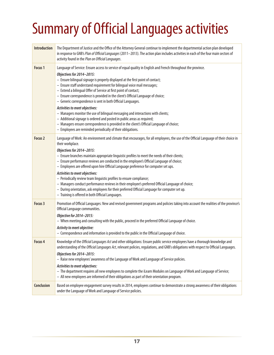# <span id="page-20-0"></span>Summary of Official Languages activities

| <b>Introduction</b> | The Department of Justice and the Office of the Attorney General continue to implement the departmental action plan developed<br>in response to GNB's Plan of Official Languages (2011-2013). The action plan includes activities in each of the four main sectors of<br>activity found in the Plan on Official Languages.                                                                                                                                                                                                                                                                                                                                                                                                                                                                                                                         |
|---------------------|----------------------------------------------------------------------------------------------------------------------------------------------------------------------------------------------------------------------------------------------------------------------------------------------------------------------------------------------------------------------------------------------------------------------------------------------------------------------------------------------------------------------------------------------------------------------------------------------------------------------------------------------------------------------------------------------------------------------------------------------------------------------------------------------------------------------------------------------------|
| Focus <sub>1</sub>  | Language of Service: Ensure access to service of equal quality in English and French throughout the province.<br>Objectives for 2014-2015:<br>- Ensure bilingual signage is properly displayed at the first point of contact;<br>- Ensure staff understand requirement for bilingual voice mail messages;<br>- Extend a bilingual Offer of Service at first point of contact;<br>- Ensure correspondence is provided in the client's Official Language of choice;<br>- Generic correspondence is sent in both Official Languages.<br>Activities to meet objectives:<br>- Managers monitor the use of bilingual messaging and interactions with clients;<br>- Additional signage is ordered and posted in public areas as required;                                                                                                                 |
|                     | - Managers ensure correspondence is provided in the client's Official Language of choice;<br>- Employees are reminded periodically of their obligations.                                                                                                                                                                                                                                                                                                                                                                                                                                                                                                                                                                                                                                                                                           |
| Focus <sub>2</sub>  | Language of Work: An environment and climate that encourages, for all employees, the use of the Official Language of their choice in<br>their workplace.<br>Objectives for 2014-2015:<br>- Ensure branches maintain appropriate linguistic profiles to meet the needs of their clients;<br>- Ensure performance reviews are conducted in the employee's Official Language of choice;<br>- Employees are offered upon hire Official Language preference for computer set ups.<br>Activities to meet objectives:<br>- Periodically review team linguistic profiles to ensure compliance;<br>- Managers conduct performance reviews in their employee's preferred Official Language of choice;<br>- During orientation, ask employees for their preferred Official Language for computer set up.<br>- Training is offered in both Official Languages. |
| Focus 3             | Promotion of Official Languages: New and revised government programs and policies taking into account the realities of the province's<br>Official Language communities.<br>Objective for 2014-2015:<br>- When meeting and consulting with the public, proceed in the preferred Official Language of choice.<br>Activity to meet objective:<br>- Correspondence and information is provided to the public in the Official Language of choice.                                                                                                                                                                                                                                                                                                                                                                                                       |
| Focus 4             | Knowledge of the Official Languages Act and other obligations: Ensure public service employees have a thorough knowledge and<br>understanding of the Official Languages Act, relevant policies, regulations, and GNB's obligations with respect to Official Languages.<br>Objectives for 2014-2015:<br>- Raise new employees' awareness of the Language of Work and Language of Service policies.<br>Activities to meet objectives:<br>- The department requires all new employees to complete the iLearn Modules on Language of Work and Language of Service;<br>- All new employees are informed of their obligations as part of their orientation program.                                                                                                                                                                                      |
| <b>Conclusion</b>   | Based on employee engagement survey results in 2014, employees continue to demonstrate a strong awareness of their obligations<br>under the Language of Work and Language of Service policies.                                                                                                                                                                                                                                                                                                                                                                                                                                                                                                                                                                                                                                                     |